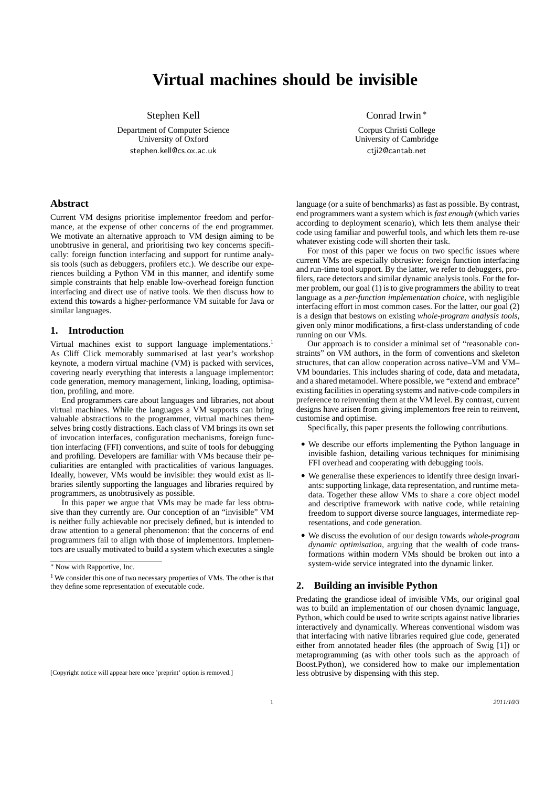# **Virtual machines should be invisible**

Stephen Kell

Department of Computer Science University of Oxford stephen.kell@cs.ox.ac.uk

Conrad Irwin <sup>∗</sup>

Corpus Christi College University of Cambridge ctji2@cantab.net

# **Abstract**

Current VM designs prioritise implementor freedom and performance, at the expense of other concerns of the end programmer. We motivate an alternative approach to VM design aiming to be unobtrusive in general, and prioritising two key concerns specifically: foreign function interfacing and support for runtime analysis tools (such as debuggers, profilers etc.). We describe our experiences building a Python VM in this manner, and identify some simple constraints that help enable low-overhead foreign function interfacing and direct use of native tools. We then discuss how to extend this towards a higher-performance VM suitable for Java or similar languages.

# **1. Introduction**

Virtual machines exist to support language implementations.<sup>1</sup> As Cliff Click memorably summarised at last year's workshop keynote, a modern virtual machine (VM) is packed with services, covering nearly everything that interests a language implementor: code generation, memory management, linking, loading, optimisation, profiling, and more.

End programmers care about languages and libraries, not about virtual machines. While the languages a VM supports can bring valuable abstractions to the programmer, virtual machines themselves bring costly distractions. Each class of VM brings its own set of invocation interfaces, configuration mechanisms, foreign function interfacing (FFI) conventions, and suite of tools for debugging and profiling. Developers are familiar with VMs because their peculiarities are entangled with practicalities of various languages. Ideally, however, VMs would be invisible: they would exist as libraries silently supporting the languages and libraries required by programmers, as unobtrusively as possible.

In this paper we argue that VMs may be made far less obtrusive than they currently are. Our conception of an "invisible" VM is neither fully achievable nor precisely defined, but is intended to draw attention to a general phenomenon: that the concerns of end programmers fail to align with those of implementors. Implementors are usually motivated to build a system which executes a single language (or a suite of benchmarks) as fast as possible. By contrast, end programmers want a system which is *fast enough* (which varies according to deployment scenario), which lets them analyse their code using familiar and powerful tools, and which lets them re-use whatever existing code will shorten their task.

For most of this paper we focus on two specific issues where current VMs are especially obtrusive: foreign function interfacing and run-time tool support. By the latter, we refer to debuggers, profilers, race detectors and similar dynamic analysis tools. For the former problem, our goal (1) is to give programmers the ability to treat language as a *per-function implementation choice*, with negligible interfacing effort in most common cases. For the latter, our goal (2) is a design that bestows on existing *whole-program analysis tools*, given only minor modifications, a first-class understanding of code running on our VMs.

Our approach is to consider a minimal set of "reasonable constraints" on VM authors, in the form of conventions and skeleton structures, that can allow cooperation across native–VM and VM– VM boundaries. This includes sharing of code, data and metadata, and a shared metamodel. Where possible, we "extend and embrace" existing facilities in operating systems and native-code compilers in preference to reinventing them at the VM level. By contrast, current designs have arisen from giving implementors free rein to reinvent, customise and optimise.

Specifically, this paper presents the following contributions.

- We describe our efforts implementing the Python language in invisible fashion, detailing various techniques for minimising FFI overhead and cooperating with debugging tools.
- We generalise these experiences to identify three design invariants: supporting linkage, data representation, and runtime metadata. Together these allow VMs to share a core object model and descriptive framework with native code, while retaining freedom to support diverse source languages, intermediate representations, and code generation.
- We discuss the evolution of our design towards *whole-program dynamic optimisation*, arguing that the wealth of code transformations within modern VMs should be broken out into a system-wide service integrated into the dynamic linker.

# **2. Building an invisible Python**

Predating the grandiose ideal of invisible VMs, our original goal was to build an implementation of our chosen dynamic language, Python, which could be used to write scripts against native libraries interactively and dynamically. Whereas conventional wisdom was that interfacing with native libraries required glue code, generated either from annotated header files (the approach of Swig [1]) or metaprogramming (as with other tools such as the approach of Boost.Python), we considered how to make our implementation less obtrusive by dispensing with this step.

<sup>∗</sup> Now with Rapportive, Inc.

<sup>1</sup> We consider this one of two necessary properties of VMs. The other is that they define some representation of executable code.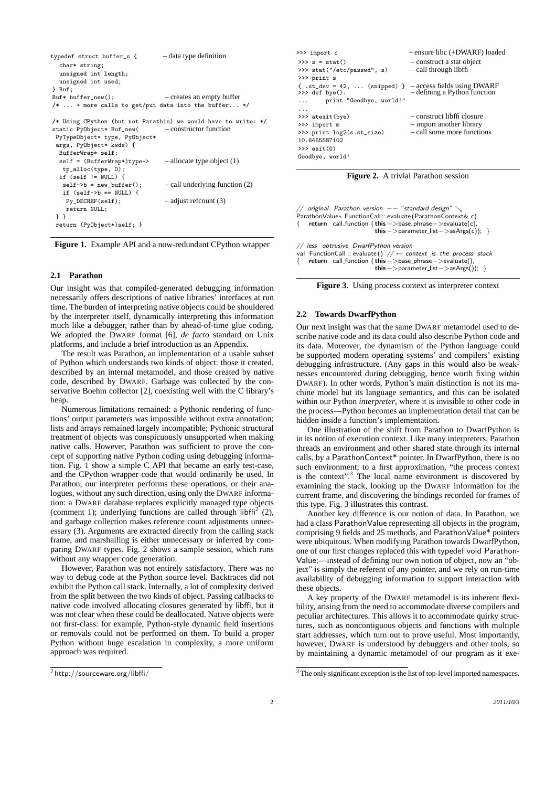```
typedef struct buffer_s { – data type definition
  char* string;
  unsigned int length;
  unsigned int used;
} Buf;
Buf* buffer_new(); – creates an empty buffer
/* \ldots + more calls to get/put data into the buffer... */
/* Using CPython (but not Parathin) we would have to write: */
static PyObject* \text{Buf\_new}(PyTypeObject* type, PyObject*
 args, PyObject* kwds) {
  BufferWrap* self;
  self = (BufferWrapper)type-> - allocate type object (1)tp_alloc(type, 0);
  if (self != NULL) {
   self->b = new_buffer(); -call underlying function (2)
   if (s_{e}1f-\lambda b == \text{NUL}) {
    Py_DECREF(self); – adjust refcount (3)
    return NULL;
 } }
 return (PyObject*)self; }
```


#### **2.1 Parathon**

Our insight was that compiled-generated debugging information necessarily offers descriptions of native libraries' interfaces at run time. The burden of interpreting native objects could be shouldered by the interpreter itself, dynamically interpreting this information much like a debugger, rather than by ahead-of-time glue coding. We adopted the DWARF format [6], *de facto* standard on Unix platforms, and include a brief introduction as an Appendix.

The result was Parathon, an implementation of a usable subset of Python which understands two kinds of object: those it created, described by an internal metamodel, and those created by native code, described by DWARF. Garbage was collected by the conservative Boehm collector [2], coexisting well with the C library's heap

Numerous limitations remained: a Pythonic rendering of functions' output parameters was impossible without extra annotation; lists and arrays remained largely incompatible; Pythonic structural treatment of objects was conspicuously unsupported when making native calls. However, Parathon was sufficient to prove the concept of supporting native Python coding using debugging information. Fig. 1 show a simple C API that became an early test-case, and the CPython wrapper code that would ordinarily be used. In Parathon, our interpreter performs these operations, or their analogues, without any such direction, using only the DWARF information: a DWARF database replaces explicitly managed type objects (comment 1); underlying functions are called through  $\text{libffi}^2$  (2), and garbage collection makes reference count adjustments unnecessary (3). Arguments are extracted directly from the calling stack frame, and marshalling is either unnecessary or inferred by comparing DWARF types. Fig. 2 shows a sample session, which runs without any wrapper code generation.

However, Parathon was not entirely satisfactory. There was no way to debug code at the Python source level. Backtraces did not exhibit the Python call stack. Internally, a lot of complexity derived from the split between the two kinds of object. Passing callbacks to native code involved allocating closures generated by libffi, but it was not clear when these could be deallocated. Native objects were not first-class: for example, Python-style dynamic field insertions or removals could not be performed on them. To build a proper Python without huge escalation in complexity, a more uniform approach was required.

```
>>> import c – ensure libc (+DWARF) loaded
>>> s = stat() – construct a stat object<br>>>> stat("/etc/passwd", s) – call through libffi
>>> stat("/etc/passwd", s)
>>> print s
{ .st\_dev = 42, \ldots (snipped) }<br>>>> def bye():
                                     – access fields using DWARF<br>– defining a Python function
... print "Goodbye, world!"
 ...
>>> atexit(bye) – construct libffi closure
>>> import m – import another library
>>> print log2(s.st_size) – call some more functions
10.6465587102
>>> exit(0)
Goodbye, world!
```
**Figure 2.** A trivial Parathon session

```
// original Parathon version −− "standard design" ց
ParathonValue∗ FunctionCall :: evaluate (ParathonContext& c)
{ return call function ( this−>base phrase−>evaluate(c),
                         this−>parameter list−>asArgs(c)); }
```
// less obtrusive DwarfPython version

```
val  FunctionCall :: evaluate()  // ← context  is  the  process  stack<br>{     return   call_function ( this —>base_phrase—>evaluate(),
```

```
this−>parameter list−>asArgs()); }
```
**Figure 3.** Using process context as interpreter context

#### **2.2 Towards DwarfPython**

Our next insight was that the same DWARF metamodel used to describe native code and its data could also describe Python code and its data. Moreover, the dynamism of the Python language could be supported modern operating systems' and compilers' existing debugging infrastructure. (Any gaps in this would also be weaknesses encountered during debugging, hence worth fixing *within* DWARF). In other words, Python's main distinction is not its machine model but its language semantics, and this can be isolated within our Python *interpreter*, where it is invisible to other code in the process—Python becomes an implementation detail that can be hidden inside a function's implementation.

One illustration of the shift from Parathon to DwarfPython is in its notion of execution context. Like many interpreters, Parathon threads an environment and other shared state through its internal calls, by a ParathonContext\* pointer. In DwarfPython, there is no such environment; to a first approximation, "the process context is the context".<sup>3</sup> The local name environment is discovered by examining the stack, looking up the DWARF information for the current frame, and discovering the bindings recorded for frames of this type. Fig. 3 illustrates this contrast.

Another key difference is our notion of data. In Parathon, we had a class ParathonValue representing all objects in the program, comprising 9 fields and 25 methods, and ParathonValue\* pointers were ubiquitous. When modifying Parathon towards DwarfPython, one of our first changes replaced this with typedef void Parathon-Value;—instead of defining our own notion of object, now an "object" is simply the referent of any pointer, and we rely on run-time availability of debugging information to support interaction with these objects.

A key property of the DWARF metamodel is its inherent flexibility, arising from the need to accommodate diverse compilers and peculiar architectures. This allows it to accommodate quirky structures, such as noncontiguous objects and functions with multiple start addresses, which turn out to prove useful. Most importantly, however, DWARF is understood by debuggers and other tools, so by maintaining a dynamic metamodel of our program as it exe-

 $\sqrt[2]{\text{http://sourceware.org/libffi/}}$ 

<sup>&</sup>lt;sup>3</sup>The only significant exception is the list of top-level imported namespaces.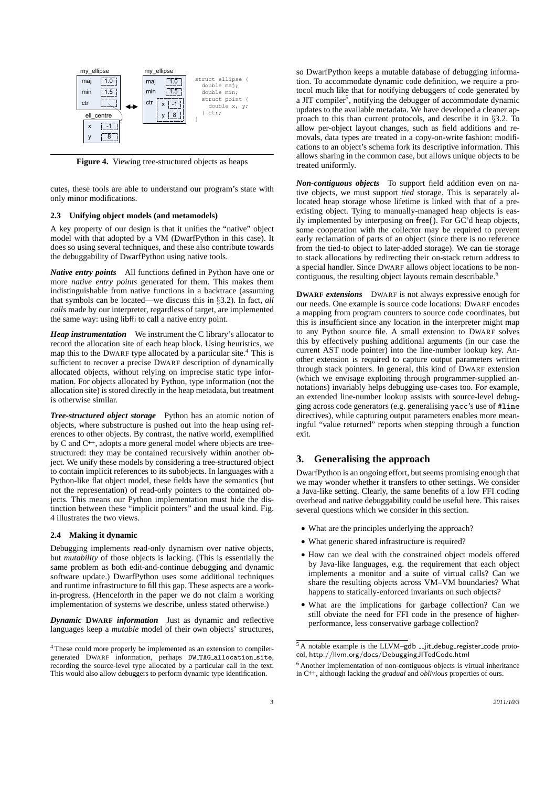

Figure 4. Viewing tree-structured objects as heaps

cutes, these tools are able to understand our program's state with only minor modifications.

#### **2.3 Unifying object models (and metamodels)**

A key property of our design is that it unifies the "native" object model with that adopted by a VM (DwarfPython in this case). It does so using several techniques, and these also contribute towards the debuggability of DwarfPython using native tools.

*Native entry points* All functions defined in Python have one or more *native entry points* generated for them. This makes them indistinguishable from native functions in a backtrace (assuming that symbols can be located—we discuss this in §3.2). In fact, *all calls* made by our interpreter, regardless of target, are implemented the same way: using libffi to call a native entry point.

*Heap instrumentation* We instrument the C library's allocator to record the allocation site of each heap block. Using heuristics, we map this to the DWARF type allocated by a particular site.<sup>4</sup> This is sufficient to recover a precise DWARF description of dynamically allocated objects, without relying on imprecise static type information. For objects allocated by Python, type information (not the allocation site) is stored directly in the heap metadata, but treatment is otherwise similar.

*Tree-structured object storage* Python has an atomic notion of objects, where substructure is pushed out into the heap using references to other objects. By contrast, the native world, exemplified by C and C++, adopts a more general model where objects are treestructured: they may be contained recursively within another object. We unify these models by considering a tree-structured object to contain implicit references to its subobjects. In languages with a Python-like flat object model, these fields have the semantics (but not the representation) of read-only pointers to the contained objects. This means our Python implementation must hide the distinction between these "implicit pointers" and the usual kind. Fig. 4 illustrates the two views.

# **2.4 Making it dynamic**

Debugging implements read-only dynamism over native objects, but *mutability* of those objects is lacking. (This is essentially the same problem as both edit-and-continue debugging and dynamic software update.) DwarfPython uses some additional techniques and runtime infrastructure to fill this gap. These aspects are a workin-progress. (Henceforth in the paper we do not claim a working implementation of systems we describe, unless stated otherwise.)

*Dynamic* **DWARF** *information* Just as dynamic and reflective languages keep a *mutable* model of their own objects' structures, so DwarfPython keeps a mutable database of debugging information. To accommodate dynamic code definition, we require a protocol much like that for notifying debuggers of code generated by a JIT compiler<sup>5</sup>, notifying the debugger of accommodate dynamic updates to the available metadata. We have developed a cleaner approach to this than current protocols, and describe it in §3.2. To allow per-object layout changes, such as field additions and removals, data types are treated in a copy-on-write fashion: modifications to an object's schema fork its descriptive information. This allows sharing in the common case, but allows unique objects to be treated uniformly.

*Non-contiguous objects* To support field addition even on native objects, we must support *tied* storage. This is separately allocated heap storage whose lifetime is linked with that of a preexisting object. Tying to manually-managed heap objects is easily implemented by interposing on free(). For GC'd heap objects, some cooperation with the collector may be required to prevent early reclamation of parts of an object (since there is no reference from the tied-to object to later-added storage). We can tie storage to stack allocations by redirecting their on-stack return address to a special handler. Since DWARF allows object locations to be noncontiguous, the resulting object layouts remain describable.<sup>6</sup>

**DWARF** *extensions* DWARF is not always expressive enough for our needs. One example is source code locations: DWARF encodes a mapping from program counters to source code coordinates, but this is insufficient since any location in the interpreter might map to any Python source file. A small extension to DWARF solves this by effectively pushing additional arguments (in our case the current AST node pointer) into the line-number lookup key. Another extension is required to capture output parameters written through stack pointers. In general, this kind of DWARF extension (which we envisage exploiting through programmer-supplied annotations) invariably helps debugging use-cases too. For example, an extended line-number lookup assists with source-level debugging across code generators (e.g. generalising yacc's use of #line directives), while capturing output parameters enables more meaningful "value returned" reports when stepping through a function exit.

# **3. Generalising the approach**

DwarfPython is an ongoing effort, but seems promising enough that we may wonder whether it transfers to other settings. We consider a Java-like setting. Clearly, the same benefits of a low FFI coding overhead and native debuggability could be useful here. This raises several questions which we consider in this section.

- What are the principles underlying the approach?
- What generic shared infrastructure is required?
- How can we deal with the constrained object models offered by Java-like languages, e.g. the requirement that each object implements a monitor and a suite of virtual calls? Can we share the resulting objects across VM–VM boundaries? What happens to statically-enforced invariants on such objects?
- What are the implications for garbage collection? Can we still obviate the need for FFI code in the presence of higherperformance, less conservative garbage collection?

<sup>&</sup>lt;sup>4</sup>These could more properly be implemented as an extension to compilergenerated DWARF information, perhaps DW TAG allocation site, recording the source-level type allocated by a particular call in the text. This would also allow debuggers to perform dynamic type identification.

 $5$  A notable example is the LLVM–gdb  $\overline{\phantom{a}}$ -jit debug register code protocol, http://llvm.org/docs/DebuggingJITedCode.html

<sup>6</sup> Another implementation of non-contiguous objects is virtual inheritance in C++, although lacking the *gradual* and *oblivious* properties of ours.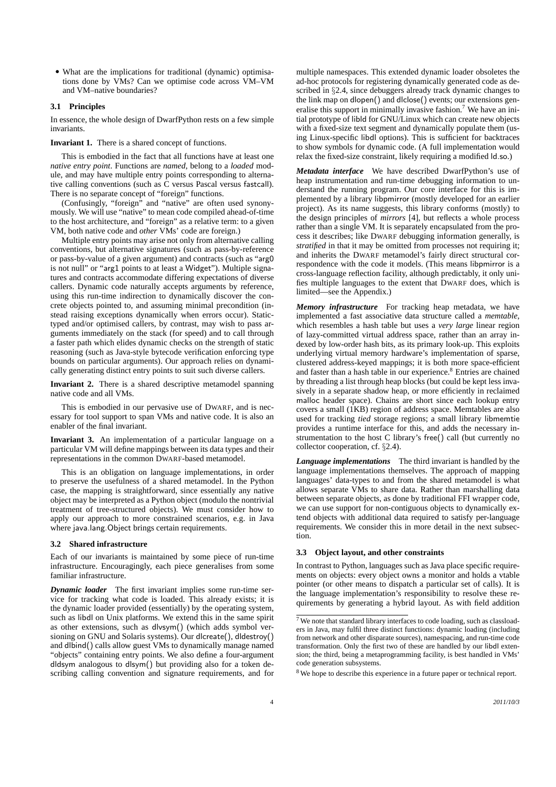• What are the implications for traditional (dynamic) optimisations done by VMs? Can we optimise code across VM–VM and VM–native boundaries?

#### **3.1 Principles**

In essence, the whole design of DwarfPython rests on a few simple invariants.

**Invariant 1.** There is a shared concept of functions.

This is embodied in the fact that all functions have at least one *native entry point*. Functions are *named*, belong to a *loaded* module, and may have multiple entry points corresponding to alternative calling conventions (such as C versus Pascal versus fastcall). There is no separate concept of "foreign" functions.

(Confusingly, "foreign" and "native" are often used synonymously. We will use "native" to mean code compiled ahead-of-time to the host architecture, and "foreign" as a relative term: to a given VM, both native code and *other* VMs' code are foreign.)

Multiple entry points may arise not only from alternative calling conventions, but alternative signatures (such as pass-by-reference or pass-by-value of a given argument) and contracts (such as "arg0 is not null" or "arg1 points to at least a Widget"). Multiple signatures and contracts accommodate differing expectations of diverse callers. Dynamic code naturally accepts arguments by reference, using this run-time indirection to dynamically discover the concrete objects pointed to, and assuming minimal precondition (instead raising exceptions dynamically when errors occur). Statictyped and/or optimised callers, by contrast, may wish to pass arguments immediately on the stack (for speed) and to call through a faster path which elides dynamic checks on the strength of static reasoning (such as Java-style bytecode verification enforcing type bounds on particular arguments). Our approach relies on dynamically generating distinct entry points to suit such diverse callers.

**Invariant 2.** There is a shared descriptive metamodel spanning native code and all VMs.

This is embodied in our pervasive use of DWARF, and is necessary for tool support to span VMs and native code. It is also an enabler of the final invariant.

**Invariant 3.** An implementation of a particular language on a particular VM will define mappings between its data types and their representations in the common DWARF-based metamodel.

This is an obligation on language implementations, in order to preserve the usefulness of a shared metamodel. In the Python case, the mapping is straightforward, since essentially any native object may be interpreted as a Python object (modulo the nontrivial treatment of tree-structured objects). We must consider how to apply our approach to more constrained scenarios, e.g. in Java where java.lang.Object brings certain requirements.

#### **3.2 Shared infrastructure**

Each of our invariants is maintained by some piece of run-time infrastructure. Encouragingly, each piece generalises from some familiar infrastructure.

*Dynamic loader* The first invariant implies some run-time service for tracking what code is loaded. This already exists; it is the dynamic loader provided (essentially) by the operating system, such as libdl on Unix platforms. We extend this in the same spirit as other extensions, such as dlvsym() (which adds symbol versioning on GNU and Solaris systems). Our dlcreate(), dldestroy() and dlbind() calls allow guest VMs to dynamically manage named "objects" containing entry points. We also define a four-argument dldsym analogous to dlsym() but providing also for a token describing calling convention and signature requirements, and for multiple namespaces. This extended dynamic loader obsoletes the ad-hoc protocols for registering dynamically generated code as described in §2.4, since debuggers already track dynamic changes to the link map on dlopen() and dlclose() events; our extensions generalise this support in minimally invasive fashion.<sup>7</sup> We have an initial prototype of libld for GNU/Linux which can create new objects with a fixed-size text segment and dynamically populate them (using Linux-specific libdl options). This is sufficient for backtraces to show symbols for dynamic code. (A full implementation would relax the fixed-size constraint, likely requiring a modified ld.so.)

*Metadata interface* We have described DwarfPython's use of heap instrumentation and run-time debugging information to understand the running program. Our core interface for this is implemented by a library libpmirror (mostly developed for an earlier project). As its name suggests, this library conforms (mostly) to the design principles of *mirrors* [4], but reflects a whole process rather than a single VM. It is separately encapsulated from the process it describes; like DWARF debugging information generally, is *stratified* in that it may be omitted from processes not requiring it; and inherits the DWARF metamodel's fairly direct structural correspondence with the code it models. (This means libpmirror is a cross-language reflection facility, although predictably, it only unifies multiple languages to the extent that DWARF does, which is limited—see the Appendix.)

*Memory infrastructure* For tracking heap metadata, we have implemented a fast associative data structure called a *memtable*, which resembles a hash table but uses a *very large* linear region of lazy-committed virtual address space, rather than an array indexed by low-order hash bits, as its primary look-up. This exploits underlying virtual memory hardware's implementation of sparse, clustered address-keyed mappings; it is both more space-efficient and faster than a hash table in our experience.<sup>8</sup> Entries are chained by threading a list through heap blocks (but could be kept less invasively in a separate shadow heap, or more efficiently in reclaimed malloc header space). Chains are short since each lookup entry covers a small (1KB) region of address space. Memtables are also used for tracking *tied* storage regions; a small library libmemtie provides a runtime interface for this, and adds the necessary instrumentation to the host C library's free() call (but currently no collector cooperation, cf. §2.4).

*Language implementations* The third invariant is handled by the language implementations themselves. The approach of mapping languages' data-types to and from the shared metamodel is what allows separate VMs to share data. Rather than marshalling data between separate objects, as done by traditional FFI wrapper code, we can use support for non-contiguous objects to dynamically extend objects with additional data required to satisfy per-language requirements. We consider this in more detail in the next subsection.

#### **3.3 Object layout, and other constraints**

In contrast to Python, languages such as Java place specific requirements on objects: every object owns a monitor and holds a vtable pointer (or other means to dispatch a particular set of calls). It is the language implementation's responsibility to resolve these requirements by generating a hybrid layout. As with field addition

 $\sqrt{7}$  We note that standard library interfaces to code loading, such as classloaders in Java, may fulfil three distinct functions: dynamic loading (including from network and other disparate sources), namespacing, and run-time code transformation. Only the first two of these are handled by our libdl extension; the third, being a metaprogramming facility, is best handled in VMs' code generation subsystems.

<sup>&</sup>lt;sup>8</sup> We hope to describe this experience in a future paper or technical report.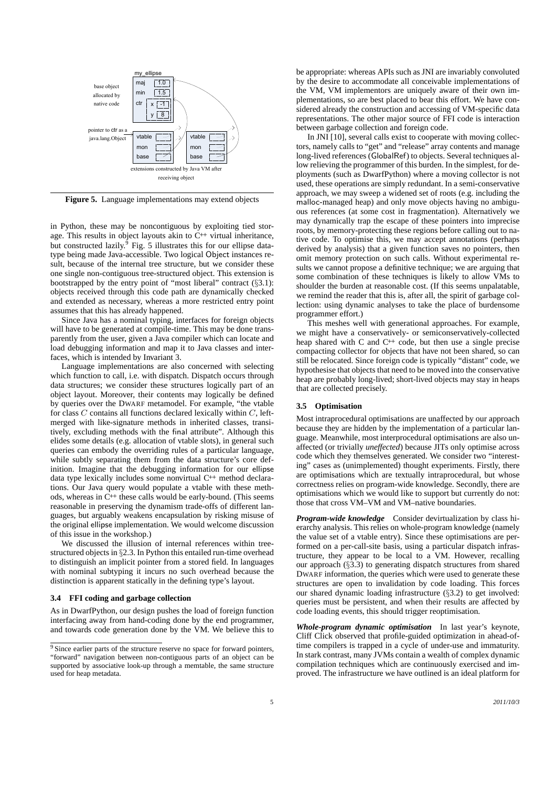

**Figure 5.** Language implementations may extend objects

in Python, these may be noncontiguous by exploiting tied storage. This results in object layouts akin to  $C^{++}$  virtual inheritance, but constructed lazily.<sup>5</sup> Fig. 5 illustrates this for our ellipse datatype being made Java-accessible. Two logical Object instances result, because of the internal tree structure, but we consider these one single non-contiguous tree-structured object. This extension is bootstrapped by the entry point of "most liberal" contract  $(\S 3.1)$ : objects received through this code path are dynamically checked and extended as necessary, whereas a more restricted entry point assumes that this has already happened.

Since Java has a nominal typing, interfaces for foreign objects will have to be generated at compile-time. This may be done transparently from the user, given a Java compiler which can locate and load debugging information and map it to Java classes and interfaces, which is intended by Invariant 3.

Language implementations are also concerned with selecting which function to call, i.e. with dispatch. Dispatch occurs through data structures; we consider these structures logically part of an object layout. Moreover, their contents may logically be defined by queries over the DWARF metamodel. For example, "the vtable for class  $C$  contains all functions declared lexically within  $C$ , leftmerged with like-signature methods in inherited classes, transitively, excluding methods with the final attribute". Although this elides some details (e.g. allocation of vtable slots), in general such queries can embody the overriding rules of a particular language, while subtly separating them from the data structure's core definition. Imagine that the debugging information for our ellipse data type lexically includes some nonvirtual C++ method declarations. Our Java query would populate a vtable with these methods, whereas in  $\hat{C}^+$  these calls would be early-bound. (This seems reasonable in preserving the dynamism trade-offs of different languages, but arguably weakens encapsulation by risking misuse of the original ellipse implementation. We would welcome discussion of this issue in the workshop.)

We discussed the illusion of internal references within treestructured objects in §2.3. In Python this entailed run-time overhead to distinguish an implicit pointer from a stored field. In languages with nominal subtyping it incurs no such overhead because the distinction is apparent statically in the defining type's layout.

## **3.4 FFI coding and garbage collection**

As in DwarfPython, our design pushes the load of foreign function interfacing away from hand-coding done by the end programmer, and towards code generation done by the VM. We believe this to be appropriate: whereas APIs such as JNI are invariably convoluted by the desire to accommodate all conceivable implementations of the VM, VM implementors are uniquely aware of their own implementations, so are best placed to bear this effort. We have considered already the construction and accessing of VM-specific data representations. The other major source of FFI code is interaction between garbage collection and foreign code.

In JNI [10], several calls exist to cooperate with moving collectors, namely calls to "get" and "release" array contents and manage long-lived references (GlobalRef) to objects. Several techniques allow relieving the programmer of this burden. In the simplest, for deployments (such as DwarfPython) where a moving collector is not used, these operations are simply redundant. In a semi-conservative approach, we may sweep a widened set of roots (e.g. including the malloc-managed heap) and only move objects having no ambiguous references (at some cost in fragmentation). Alternatively we may dynamically trap the escape of these pointers into imprecise roots, by memory-protecting these regions before calling out to native code. To optimise this, we may accept annotations (perhaps derived by analysis) that a given function saves no pointers, then omit memory protection on such calls. Without experimental results we cannot propose a definitive technique; we are arguing that some combination of these techniques is likely to allow VMs to shoulder the burden at reasonable cost. (If this seems unpalatable, we remind the reader that this is, after all, the spirit of garbage collection: using dynamic analyses to take the place of burdensome programmer effort.)

This meshes well with generational approaches. For example, we might have a conservatively- or semiconservatively-collected heap shared with C and C<sup>++</sup> code, but then use a single precise compacting collector for objects that have not been shared, so can still be relocated. Since foreign code is typically "distant" code, we hypothesise that objects that need to be moved into the conservative heap are probably long-lived; short-lived objects may stay in heaps that are collected precisely.

#### **3.5 Optimisation**

Most intraprocedural optimisations are unaffected by our approach because they are hidden by the implementation of a particular language. Meanwhile, most interprocedural optimisations are also unaffected (or trivially *uneffected*) because JITs only optimise across code which they themselves generated. We consider two "interesting" cases as (unimplemented) thought experiments. Firstly, there are optimisations which are textually intraprocedural, but whose correctness relies on program-wide knowledge. Secondly, there are optimisations which we would like to support but currently do not: those that cross VM–VM and VM–native boundaries.

*Program-wide knowledge* Consider devirtualization by class hierarchy analysis. This relies on whole-program knowledge (namely the value set of a vtable entry). Since these optimisations are performed on a per-call-site basis, using a particular dispatch infrastructure, they appear to be local to a VM. However, recalling our approach (§3.3) to generating dispatch structures from shared DWARF information, the queries which were used to generate these structures are open to invalidation by code loading. This forces our shared dynamic loading infrastructure (§3.2) to get involved: queries must be persistent, and when their results are affected by code loading events, this should trigger reoptimisation.

*Whole-program dynamic optimisation* In last year's keynote, Cliff Click observed that profile-guided optimization in ahead-oftime compilers is trapped in a cycle of under-use and immaturity. In stark contrast, many JVMs contain a wealth of complex dynamic compilation techniques which are continuously exercised and improved. The infrastructure we have outlined is an ideal platform for

<sup>&</sup>lt;sup>9</sup> Since earlier parts of the structure reserve no space for forward pointers, "forward" navigation between non-contiguous parts of an object can be supported by associative look-up through a memtable, the same structure used for heap metadata.